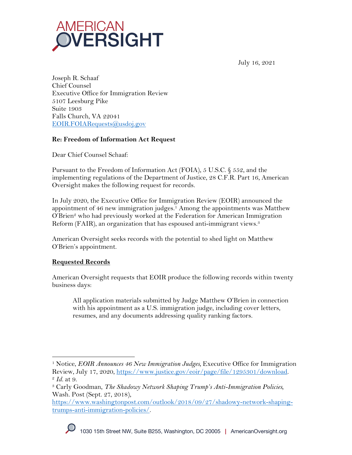

July 16, 2021

Joseph R. Schaaf Chief Counsel Executive Office for Immigration Review 5107 Leesburg Pike Suite 1903 Falls Church, VA 22041 EOIR.FOIARequests@usdoj.gov

# **Re: Freedom of Information Act Request**

Dear Chief Counsel Schaaf:

Pursuant to the Freedom of Information Act (FOIA), 5 U.S.C. § 552, and the implementing regulations of the Department of Justice, 28 C.F.R. Part 16, American Oversight makes the following request for records.

In July 2020, the Executive Office for Immigration Review (EOIR) announced the appointment of 46 new immigration judges.<sup>1</sup> Among the appointments was Matthew O'Brien2 who had previously worked at the Federation for American Immigration Reform (FAIR), an organization that has espoused anti-immigrant views.<sup>3</sup>

American Oversight seeks records with the potential to shed light on Matthew O'Brien's appointment.

# **Requested Records**

American Oversight requests that EOIR produce the following records within twenty business days:

All application materials submitted by Judge Matthew O'Brien in connection with his appointment as a U.S. immigration judge, including cover letters, resumes, and any documents addressing quality ranking factors.

<sup>1</sup> Notice, *EOIR Announces 46 New Immigration Judges,* Executive Office for Immigration Review, July 17, 2020, <u>https://www.justice.gov/eoir/page/file/1295301/download</u>.<br><sup>2</sup> *Id.* at 9. 3 Carly Goodman, *The Shadowy Network Shaping Trump's Anti-Immigration Policies,* 

Wash. Post (Sept. 27, 2018),

https://www.washingtonpost.com/outlook/2018/09/27/shadowy-network-shapingtrumps-anti-immigration-policies/.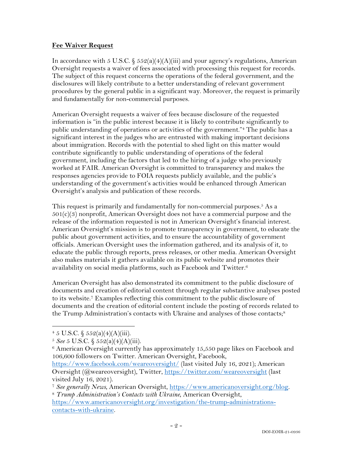## **Fee Waiver Request**

In accordance with 5 U.S.C. §  $552(a)(4)(A)(iii)$  and your agency's regulations, American Oversight requests a waiver of fees associated with processing this request for records. The subject of this request concerns the operations of the federal government, and the disclosures will likely contribute to a better understanding of relevant government procedures by the general public in a significant way. Moreover, the request is primarily and fundamentally for non-commercial purposes.

American Oversight requests a waiver of fees because disclosure of the requested information is "in the public interest because it is likely to contribute significantly to public understanding of operations or activities of the government."4 The public has a significant interest in the judges who are entrusted with making important decisions about immigration. Records with the potential to shed light on this matter would contribute significantly to public understanding of operations of the federal government, including the factors that led to the hiring of a judge who previously worked at FAIR. American Oversight is committed to transparency and makes the responses agencies provide to FOIA requests publicly available, and the public's understanding of the government's activities would be enhanced through American Oversight's analysis and publication of these records.

This request is primarily and fundamentally for non-commercial purposes.<sup>5</sup> As a  $501(c)(3)$  nonprofit, American Oversight does not have a commercial purpose and the release of the information requested is not in American Oversight's financial interest. American Oversight's mission is to promote transparency in government, to educate the public about government activities, and to ensure the accountability of government officials. American Oversight uses the information gathered, and its analysis of it, to educate the public through reports, press releases, or other media. American Oversight also makes materials it gathers available on its public website and promotes their availability on social media platforms, such as Facebook and Twitter.6

American Oversight has also demonstrated its commitment to the public disclosure of documents and creation of editorial content through regular substantive analyses posted to its website.7 Examples reflecting this commitment to the public disclosure of documents and the creation of editorial content include the posting of records related to the Trump Administration's contacts with Ukraine and analyses of those contacts;<sup>8</sup>

 $4\,5$  U.S.C.  $\frac{552(a)(4)(A)(iii)}{2}$ .

<sup>5</sup> *See* 5 U.S.C. § 552(a)(4)(A)(iii).

 $6$  American Oversight currently has approximately 15,550 page likes on Facebook and 106,600 followers on Twitter. American Oversight, Facebook,

https://www.facebook.com/weareoversight/ (last visited July 16, 2021); American Oversight (@weareoversight), Twitter, https://twitter.com/weareoversight (last visited July 16, 2021).

<sup>7</sup> *See generally News*, American Oversight, https://www.americanoversight.org/blog. 8 *Trump Administration's Contacts with Ukraine*, American Oversight,

https://www.americanoversight.org/investigation/the-trump-administrationscontacts-with-ukraine.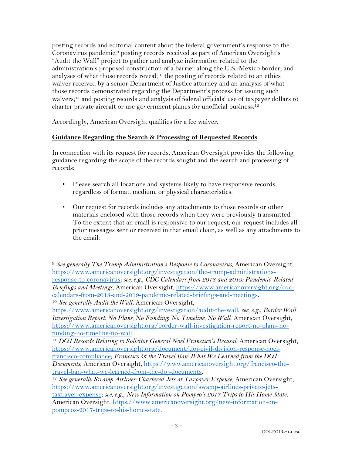posting records and editorial content about the federal government's response to the Coronavirus pandemic;9 posting records received as part of American Oversight's "Audit the Wall" project to gather and analyze information related to the administration's proposed construction of a barrier along the U.S.-Mexico border, and analyses of what those records reveal;<sup>10</sup> the posting of records related to an ethics waiver received by a senior Department of Justice attorney and an analysis of what those records demonstrated regarding the Department's process for issuing such waivers;11 and posting records and analysis of federal officials' use of taxpayer dollars to charter private aircraft or use government planes for unofficial business. 12

Accordingly, American Oversight qualifies for a fee waiver.

### **Guidance Regarding the Search & Processing of Requested Records**

In connection with its request for records, American Oversight provides the following guidance regarding the scope of the records sought and the search and processing of records:

- Please search all locations and systems likely to have responsive records, regardless of format, medium, or physical characteristics.
- Our request for records includes any attachments to those records or other materials enclosed with those records when they were previously transmitted. To the extent that an email is responsive to our request, our request includes all prior messages sent or received in that email chain, as well as any attachments to the email.

<sup>9</sup> *See generally The Trump Administration's Response to Coronavirus*, American Oversight, https://www.americanoversight.org/investigation/the-trump-administrationsresponse-to-coronavirus; *see, e.g.*, *CDC Calendars from 2018 and 2019: Pandemic-Related Briefings and Meetings*, American Oversight, https://www.americanoversight.org/cdccalendars-from-2018-and-2019-pandemic-related-briefings-and-meetings. <sup>10</sup> *See generally Audit the Wall*, American Oversight,

https://www.americanoversight.org/investigation/audit-the-wall; *see, e.g.*, *Border Wall Investigation Report: No Plans, No Funding, No Timeline, No Wall*, American Oversight, https://www.americanoversight.org/border-wall-investigation-report-no-plans-nofunding-no-timeline-no-wall. 11 *DOJ Records Relating to Solicitor General Noel Francisco's Recusal*, American Oversight,

https://www.americanoversight.org/document/doj-civil-division-response-noelfrancisco-compliance; *Francisco & the Travel Ban: What We Learned from the DOJ Documents*, American Oversight, https://www.americanoversight.org/francisco-thetravel-ban-what-we-learned-from-the-doj-documents.

<sup>&</sup>lt;sup>12</sup> See generally Swamp Airlines: Chartered Jets at Taxpayer Expense, American Oversight, https://www.americanoversight.org/investigation/swamp-airlines-private-jetstaxpayer-expense; *see, e.g.*, *New Information on Pompeo's 2017 Trips to His Home State*, American Oversight, https://www.americanoversight.org/new-information-onpompeos-2017-trips-to-his-home-state.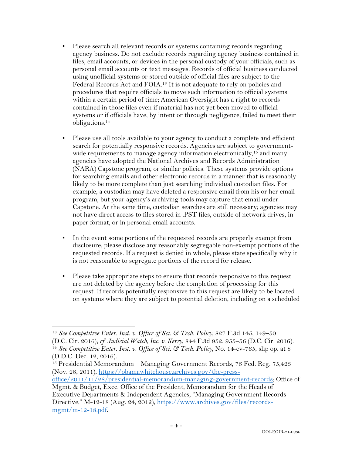- Please search all relevant records or systems containing records regarding agency business. Do not exclude records regarding agency business contained in files, email accounts, or devices in the personal custody of your officials, such as personal email accounts or text messages. Records of official business conducted using unofficial systems or stored outside of official files are subject to the Federal Records Act and FOIA.13 It is not adequate to rely on policies and procedures that require officials to move such information to official systems within a certain period of time; American Oversight has a right to records contained in those files even if material has not yet been moved to official systems or if officials have, by intent or through negligence, failed to meet their obligations.14
- Please use all tools available to your agency to conduct a complete and efficient search for potentially responsive records. Agencies are subject to governmentwide requirements to manage agency information electronically,<sup>15</sup> and many agencies have adopted the National Archives and Records Administration (NARA) Capstone program, or similar policies. These systems provide options for searching emails and other electronic records in a manner that is reasonably likely to be more complete than just searching individual custodian files. For example, a custodian may have deleted a responsive email from his or her email program, but your agency's archiving tools may capture that email under Capstone. At the same time, custodian searches are still necessary; agencies may not have direct access to files stored in .PST files, outside of network drives, in paper format, or in personal email accounts.
- In the event some portions of the requested records are properly exempt from disclosure, please disclose any reasonably segregable non-exempt portions of the requested records. If a request is denied in whole, please state specifically why it is not reasonable to segregate portions of the record for release.
- Please take appropriate steps to ensure that records responsive to this request are not deleted by the agency before the completion of processing for this request. If records potentially responsive to this request are likely to be located on systems where they are subject to potential deletion, including on a scheduled

<sup>13</sup> *See Competitive Enter. Inst. v. Office of Sci. & Tech. Policy*, 827 F.3d 145, 149–50 (D.C. Cir. 2016); *cf. Judicial Watch, Inc. v. Kerry*, 844 F.3d 952, 955–56 (D.C. Cir. 2016). 14 *See Competitive Enter. Inst. v. Office of Sci. & Tech. Policy*, No. 14-cv-765, slip op. at 8

<sup>(</sup>D.D.C. Dec. 12, 2016).

<sup>15</sup> Presidential Memorandum—Managing Government Records, 76 Fed. Reg. 75,423 (Nov. 28, 2011), https://obamawhitehouse.archives.gov/the-press-

office/2011/11/28/presidential-memorandum-managing-government-records; Office of Mgmt. & Budget, Exec. Office of the President, Memorandum for the Heads of

Executive Departments & Independent Agencies, "Managing Government Records Directive," M-12-18 (Aug. 24, 2012), https://www.archives.gov/files/recordsmgmt/m-12-18.pdf.